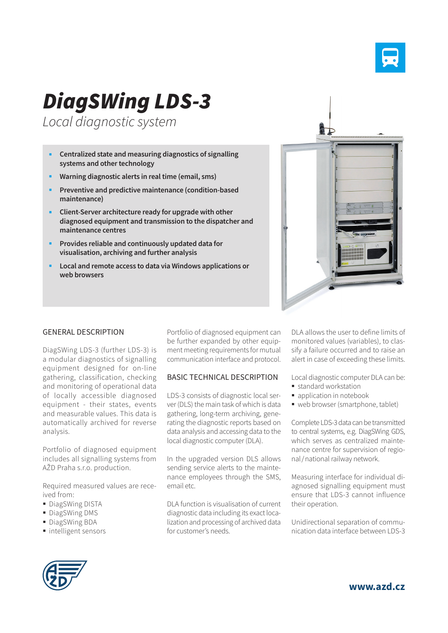

# *DiagSWing LDS-3*

*Local diagnostic system*

- **Centralized state and measuring diagnostics of signalling systems and other technology**
- **Warning diagnostic alerts in real time (email, sms)**
- **Preventive and predictive maintenance (condition-based maintenance)**
- **Client-Server architecture ready for upgrade with other diagnosed equipment and transmission to the dispatcher and maintenance centres**
- **Provides reliable and continuously updated data for visualisation, archiving and further analysis**
- **Local and remote access to data via Windows applications or web browsers**



#### GENERAL DESCRIPTION

DiagSWing LDS-3 (further LDS-3) is a modular diagnostics of signalling equipment designed for on-line gathering, classification, checking and monitoring of operational data of locally accessible diagnosed equipment - their states, events and measurable values. This data is automatically archived for reverse analysis.

Portfolio of diagnosed equipment includes all signalling systems from AŽD Praha s.r.o. production.

Required measured values are received from:

- **DiagSWing DISTA**
- **DiagSWing DMS**
- DiagSWing BDA
- intelligent sensors

Portfolio of diagnosed equipment can be further expanded by other equipment meeting requirements for mutual communication interface and protocol.

### BASIC TECHNICAL DESCRIPTION

LDS-3 consists of diagnostic local server (DLS) the main task of which is data gathering, long-term archiving, generating the diagnostic reports based on data analysis and accessing data to the local diagnostic computer (DLA).

In the upgraded version DLS allows sending service alerts to the maintenance employees through the SMS, email etc.

DLA function is visualisation of current diagnostic data including its exact localization and processing of archived data for customer's needs.

DLA allows the user to define limits of monitored values (variables), to classify a failure occurred and to raise an alert in case of exceeding these limits.

Local diagnostic computer DLA can be:

- standard workstation
- application in notebook
- web browser (smartphone, tablet)

Complete LDS-3 data can be transmitted to central systems, e.g. DiagSWing GDS, which serves as centralized maintenance centre for supervision of regional/national railway network.

Measuring interface for individual diagnosed signalling equipment must ensure that LDS-3 cannot influence their operation.

Unidirectional separation of communication data interface between LDS-3



**www.azd.cz**